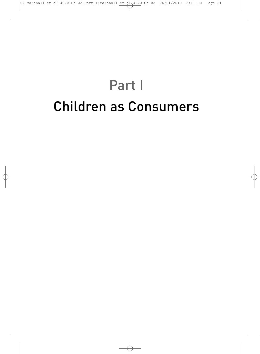# Part I Children as Consumers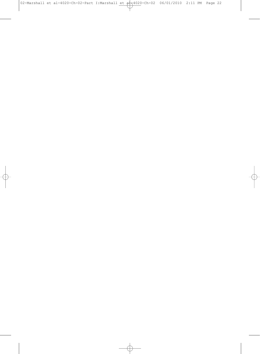02-Marshall et al-4020-Ch-02-Part I:Marshall et al-4020-Ch-02 06/01/2010 2:11 PM Page 22

 $\overline{\bigoplus}$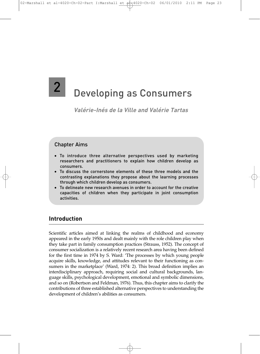**Valérie-Inés de la Ville and Valérie Tartas**

#### Chapter Aims

- To introduce three alternative perspectives used by marketing researchers and practitioners to explain how children develop as consumers.
- To discuss the cornerstone elements of these three models and the contrasting explanations they propose about the learning processes through which children develop as consumers.
- To delineate new research avenues in order to account for the creative capacities of children when they participate in joint consumption activities.

# **Introduction**

Scientific articles aimed at linking the realms of childhood and economy appeared in the early 1950s and dealt mainly with the role children play when they take part in family consumption practices (Strauss, 1952). The concept of consumer socialization is a relatively recent research area having been defined for the first time in 1974 by S. Ward: 'The processes by which young people acquire skills, knowledge, and attitudes relevant to their functioning as consumers in the marketplace' (Ward, 1974: 2). This broad definition implies an interdisciplinary approach, requiring social and cultural backgrounds, language skills, psychological development, emotional and symbolic dimensions, and so on (Robertson and Feldman, 1976). Thus, this chapter aims to clarify the contributions of three established alternative perspectives to understanding the development of children's abilities as consumers.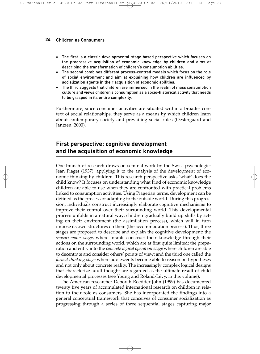- The first is a classic developmental-stage based perspective which focuses on the progressive acquisition of economic knowledge by children and aims at describing the transformation of children's consumption abilities.
- The second combines different process-centred models which focus on the role of social environment and aim at explaining how children are influenced by socialization agents in their acquisition of economic abilities.
- The third suggests that children are immersed in the realm of mass consumption culture and views children's consumption as a socio-historical activity that needs to be grasped in its entire complexity.

Furthermore, since consumer activities are situated within a broader context of social relationships, they serve as a means by which children learn about contemporary society and prevailing social rules (Oestergaard and Jantzen, 2000).

# **First perspective: cognitive development and the acquisition of economic knowledge**

One branch of research draws on seminal work by the Swiss psychologist Jean Piaget (1937), applying it to the analysis of the development of economic thinking by children. This research perspective asks 'what' does the child know? It focuses on understanding what kind of economic knowledge children are able to use when they are confronted with practical problems linked to consumption activities. Using Piagetian terms, development can be defined as the process of adapting to the outside world. During this progression, individuals construct increasingly elaborate cognitive mechanisms to improve their control over their surrounding world. This developmental process unfolds in a natural way: children gradually build up skills by acting on their environment (the assimilation process), which will in turn impose its own structures on them (the accommodation process). Thus, three stages are proposed to describe and explain the cognitive development: the *sensori-motor stage*, where infants construct their knowledge through their actions on the surrounding world, which are at first quite limited; the preparation and entry into the *concrete logical operation stage* where children are able to decentrate and consider others' points of view; and the third one called the *formal thinking stage* where adolescents become able to reason on hypotheses and not only about concrete reality. The increasingly complex logical designs that characterize adult thought are regarded as the ultimate result of child developmental processes (see Young and Roland-Lévy, in this volume).

The American researcher Deborah Roedder-John (1999) has documented twenty five years of accumulated international research on children in relation to their role as consumers. She has incorporated the findings into a general conceptual framework that conceives of consumer socialization as progressing through a series of three sequential stages capturing major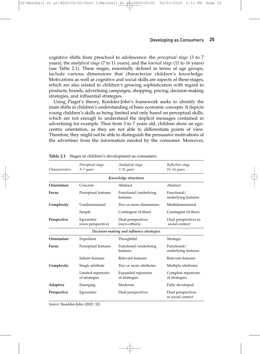cognitive shifts from preschool to adolescence: the *perceptual stage* (3 to 7 years), the *analytical stage* (7 to 11 years), and the *learned stage* (11 to 16 years) (see Table 2.1). These stages, essentially defined in terms of age groups, include various dimensions that characterize children's knowledge. Motivations as well as cognitive and social skills are aspects of these stages, which are also related to children's growing sophistication with regard to products, brands, advertising campaigns, shopping, pricing, decision-making strategies, and influential strategies.

Using Piaget's theory, Roedder-John's framework seeks to identify the main shifts in children's understanding of basic economic concepts. It depicts young children's skills as being limited and only based on perceptual skills, which are not enough to understand the implicit messages contained in advertising for example. Thus from 3 to 7 years old, children show an egocentric orientation, as they are not able to differentiate points of view. Therefore, they might not be able to distinguish the persuasive motivations of the advertiser from the information needed by the consumer. Moreover,

| Characteristics | Perceptual stage<br>3-7 years       | Analytical stage<br>$7-11$ years         | Reflective stage<br>$11-16$ years      |
|-----------------|-------------------------------------|------------------------------------------|----------------------------------------|
|                 |                                     | Knowledge structures                     |                                        |
| Orientation     | Concrete                            | Abstract                                 | Abstract                               |
| <b>Focus</b>    | Perceptual features                 | Functional/underlying<br>features        | Functional/<br>underlying features     |
| Complexity      | Unidimensional                      | Two or more dimensions                   | Multidimensional                       |
|                 | Simple                              | Contingent (if-then)                     | Contingent (if-then)                   |
| Perspective     | Egocentric<br>(own perspective)     | Dual perspectives<br>(own+others)        | Dual perspectives in<br>social context |
|                 |                                     | Decision-making and influence strategies |                                        |
| Orientation     | Expedient                           | Thoughtful                               | Strategic                              |
| <b>Focus</b>    | Perceptual features                 | Functional/underlying<br>features        | Functional/<br>underlying features     |
|                 | Salient features                    | Relevant features                        | Relevant features                      |
| Complexity      | Single attribute                    | Two or more attributes                   | Multiple attributes                    |
|                 | Limited repertoire<br>of strategies | Expanded repertoire<br>of strategies     | Complete repertoire<br>of strategies   |
| Adaptive        | Emerging                            | Moderate                                 | Fully developed                        |
| Perspective     | Egocentric                          | Dual perspectives                        | Dual perspectives<br>in social context |

**Table 2.1** Stages in children's development as consumers

*Source*: Roedder-John (2002: 32)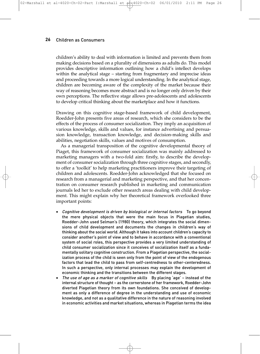children's ability to deal with information is limited and prevents them from making decisions based on a plurality of dimensions as adults do. This model provides descriptive information outlining how a child's intellect develops within the analytical stage – starting from fragmentary and imprecise ideas and proceeding towards a more logical understanding. In the analytical stage, children are becoming aware of the complexity of the market because their way of reasoning becomes more abstract and is no longer only driven by their own perceptions. The reflective stage allows pre-adolescents and adolescents to develop critical thinking about the marketplace and how it functions.

Drawing on this cognitive stage-based framework of child development, Roedder-John presents five areas of research, which she considers to be the effects of the process of consumer socialization. They imply an acquisition of various knowledge, skills and values, for instance advertising and persuasion knowledge, transaction knowledge, and decision-making skills and abilities, negotiation skills, values and motives of consumption.

As a managerial transposition of the cognitive developmental theory of Piaget, this framework of consumer socialization was mainly addressed to marketing managers with a two-fold aim: firstly, to describe the development of consumer socialization through three cognitive stages, and secondly, to offer a 'toolkit' to help marketing practitioners improve their targeting of children and adolescents. Roedder-John acknowledged that she focused on research from a managerial and marketing perspective, and that her concentration on consumer research published in marketing and communication journals led her to exclude other research areas dealing with child development. This might explain why her theoretical framework overlooked three important points:

- Cognitive development is driven by biological or internal factors To go beyond the mere physical objects that were the main focus in Piagetian studies, Roedder-John used Selman's (1980) theory, which integrates the social dimensions of child development and documents the changes in children's way of thinking about the social world. Although it takes into account children's capacity to consider another's point of view and to behave in accordance with a conventional system of social roles, this perspective provides a very limited understanding of child consumer socialization since it conceives of socialization itself as a fundamentally solitary cognitive construction. From a Piagetian perspective, the socialization process of the child is seen only from the point of view of the endogenous factors that lead the child to pass from self-centredness to other-centeredness. In such a perspective, only internal processes may explain the development of economic thinking and the transitions between the different stages.
- The use of age as a marker of cognitive skills By placing 'age' instead of the internal structure of thought – as the cornerstone of her framework, Roedder-John diverted Piagetian theory from its own foundations. She conceived of development as only a difference of degree in the understanding and use of economic knowledge, and not as a qualitative difference in the nature of reasoning involved in economic activities and market situations, whereas in Piagetian terms the idea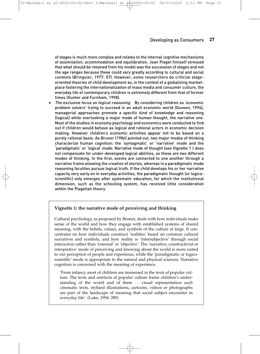of stages is much more complex and relates to the internal cognitive mechanisms of assimilation, accommodation and equilibration. Jean Piaget himself stressed that what should be retained from his model was the succession of stages and not the age ranges because these could vary greatly according to cultural and social contexts (Bringuier, 1977: 57). However, some researchers do criticize stageoriented theories of child development as, in the context of a globalizing marketplace fostering the internationalization of mass media and consumer culture, the everyday life of contemporary children is extremely different from that of former times (Gunter and Furnham, 1998).

The exclusive focus on logical reasoning By considering children as 'economic problem solvers' trying to succeed in an adult economic world (Duveen, 1994), managerial approaches promote a specific kind of knowledge and reasoning (logical) while overlooking a major mode of human thought, the narrative one. Most of the studies in economy psychology and economics were conducted to find out if children would behave as logical and rational actors in economic decision making. However children's economic activities appear not to be based on a purely rational basis. As Bruner (1986) pointed out, two major modes of thinking characterize human cognition: the 'syntagmatic' or 'narrative' mode and the 'paradigmatic' or 'logical' mode. Narrative mode of thought (see Vignette 1 ) does not compensate for under-developed logical abilities, as these are two different modes of thinking. In the first, events are connected to one another through a narrative frame allowing the creation of stories, whereas in a paradigmatic mode reasoning faculties pursue logical truth. If the child develops his or her narrative capacity very early on in everyday activities, the paradigmatic thought (or logicoscientific) only emerges after systematic education, for which the institutional dimension, such as the schooling system, has received little consideration within the Piagetian theory.

#### **Vignette 1: the narrative mode of perceiving and thinking**

Cultural psychology, as proposed by Bruner, deals with how individuals make sense of the world and how they engage with established systems of shared meaning, with the beliefs, values, and symbols of the culture at large. It concentrates on how individuals construct 'realities' based on common cultural narratives and symbols, and how reality is 'intersubjective' through social interaction rather than 'external' or 'objective'. The 'narrative, constructivist or interpretive' mode of perceiving and knowing about the world is more suited to our perception of people and experience, while the 'paradigmatic or logicoscientific' mode is appropriate to the natural and physical sciences. Narrative cognition is concerned with the meaning of experience.

'From infancy, most of children are immersed in the texts of popular culture. The texts and artefacts of popular culture frame children's understanding of the world and of them … visual representation such cinematic texts, stylised illustrations, cartoons, videos or photographs are part of the landscape of meaning that social subject encounter in everyday life'. (Luke, 1994: 289)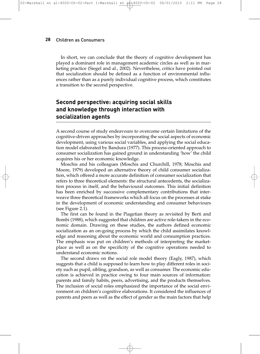In short, we can conclude that the theory of cognitive development has played a dominant role in management academic circles as well as in marketing practice (Siegel and al., 2002). Nevertheless, critics have pointed out that socialization should be defined as a function of environmental influences rather than as a purely individual cognitive process, which constitutes a transition to the second perspective.

# **Second perspective: acquiring social skills and knowledge through interaction with socialization agents**

A second course of study endeavours to overcome certain limitations of the cognitive-driven approaches by incorporating the social aspects of economic development, using various social variables, and applying the social education model elaborated by Bandura (1977). This process-oriented approach to consumer socialization has gained ground in understanding 'how' the child acquires his or her economic knowledge.

Moschis and his colleagues (Moschis and Churchill, 1978; Moschis and Moore, 1979) developed an alternative theory of child consumer socialization, which offered a more accurate definition of consumer socialization that refers to three theoretical elements: the structural antecedents, the socialization process in itself, and the behavioural outcomes. This initial definition has been enriched by successive complementary contributions that interweave three theoretical frameworks which all focus on the processes at stake in the development of economic understanding and consumer behaviours (see Figure 2.1).

The first can be found in the Piagetian theory as revisited by Berti and Bombi (1988), which suggested that children are active role-takers in the economic domain. Drawing on these studies, the authors defined economic socialization as an on-going process by which the child assimilates knowledge and reasoning about the economic world and consumption practices. The emphasis was put on children's methods of interpreting the marketplace as well as on the specificity of the cognitive operations needed to understand economic notions.

The second draws on the social role model theory (Eagly, 1987), which suggests that a child is supposed to learn how to play different roles in society such as pupil, sibling, grandson, as well as consumer. The economic education is achieved in practice owing to four main sources of information: parents and family habits, peers, advertising, and the products themselves. The inclusion of social roles emphasized the importance of the social environment on children's cognitive elaborations. It considered the influences of parents and peers as well as the effect of gender as the main factors that help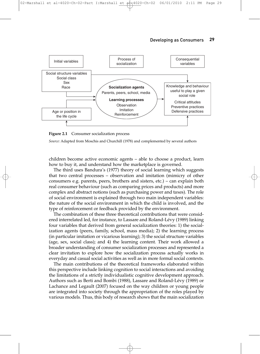



**Figure 2.1** Consumer socialization process

*Source:* Adapted from Moschis and Churchill (1978) and complemented by several authors

children become active economic agents – able to choose a product, learn how to buy it, and understand how the marketplace is governed.

The third uses Bandura's (1977) theory of social learning which suggests that two central processes – observation and imitation (mimicry of other consumers e.g. parents, peers, brothers and sisters, etc.) – can explain both real consumer behaviour (such as comparing prices and products) and more complex and abstract notions (such as purchasing power and taxes). The role of social environment is explained through two main independent variables: the nature of the social environment in which the child is involved, and the type of reinforcement or feedback provided by the environment.

The combination of these three theoretical contributions that were considered interrelated led, for instance, to Lassare and Roland-Lévy (1989) linking four variables that derived from general socialization theories: 1) the socialization agents (peers, family, school, mass media); 2) the learning process (in particular imitation or vicarious learning); 3) the social structure variables (age, sex, social class); and 4) the learning content. Their work allowed a broader understanding of consumer socialization processes and represented a clear invitation to explore how the socialization process actually works in everyday and casual social activities as well as in more formal social contexts.

The main contributions of the theoretical frameworks elaborated within this perspective include linking cognition to social interactions and avoiding the limitations of a strictly individualistic cognitive development approach. Authors such as Berti and Bombi (1988), Lassare and Roland-Lévy (1989) or Lachance and Legault (2007) focused on the way children or young people are integrated into society through the appropriation of the roles played by various models. Thus, this body of research shows that the main socialization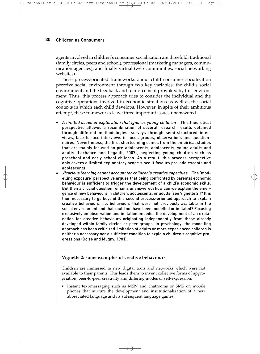agents involved in children's consumer socialization are threefold: traditional (family circles, peers and school), professional (marketing managers, communication agencies), and finally virtual (web communities, social networking websites).

These process-oriented frameworks about child consumer socialization perceive social environment through two key variables: the child's social environment and the feedback and reinforcement provoked by this environment. Thus, this process approach tries to consider the individual and the cognitive operations involved in economic situations as well as the social contexts in which each child develops. However, in spite of their ambitious attempt, these frameworks leave three important issues unanswered.

- <sup>A</sup> limited scope of exploration that ignores young children This theoretical perspective allowed a recombination of several research results obtained through different methodologies: surveys through semi-structured interviews, face-to-face interviews in focus groups, observations and questionnaires. Nevertheless, the first shortcoming comes from the empirical studies that are mainly focused on pre-adolescents, adolescents, young adults and adults (Lachance and Legault, 2007), neglecting young children such as preschool and early school children. As a result, this process perspective only covers a limited explanatory scope since it favours pre-adolescents and adolescents.
- Vicarious learning cannot account for children's creative capacities The 'modelling exposure' perspective argues that being confronted by parental economic behaviour is sufficient to trigger the development of a child's economic skills. But then a crucial question remains unanswered: how can we explain the emergence of new behaviours in children, adolescents, or adults (see Vignette 2 )? It is then necessary to go beyond this second process-oriented approach to explain creative behaviours, i.e. behaviours that were not previously available in the social environment and that could not have been modelled or imitated? Focusing exclusively on observation and imitation impedes the development of an explanation for creative behaviours originating independently from those already developed within family circles or peer groups. In psychology, the modelling approach has been criticized: imitation of adults or more experienced children is neither a necessary nor a sufficient condition to explain children's cognitive progressions (Doise and Mugny, 1981).

#### **Vignette 2: some examples of creative behaviours**

Children are immersed in new digital tools and networks which were not available to their parents. This leads them to invent collective forms of appropriation, peer-to-peer creativity and differing modes of self-expression:

• Instant text-messaging such as MSN and chatrooms or SMS on mobile phones that nurture the development and institutionalization of a new abbreviated language and its subsequent language games.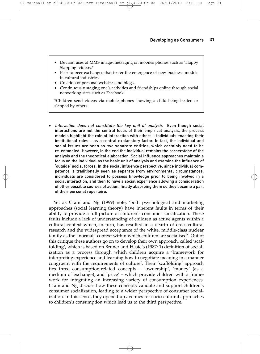### 02-Marshall et al-4020-Ch-02-Part I:Marshall et at 4020-Ch-02 06/01/2010 2:11 PM Page 31

#### Developing as Consumers **31**

- Deviant uses of MMS image-messaging on mobiles phones such as 'Happy Slapping' videos.\*
- Peer to peer exchanges that foster the emergence of new business models in cultural industries.
- Creation of personal websites and blogs.
- Continuously staging one's activities and friendships online through social networking sites such as Facebook.

\*Children send videos via mobile phones showing a child being beaten or slapped by others

• Interaction does not constitute the key unit of analysis Even though social interactions are not the central focus of their empirical analysis, the process models highlight the role of interaction with others – individuals enacting their institutional roles – as a central explanatory factor. In fact, the individual and social issues are seen as two separate entities, which certainly need to be re-entangled. However, in the end the individual remains the cornerstone of the analysis and the theoretical elaboration. Social influence approaches maintain a focus on the individual as the basic unit of analysis and examine the influence of 'outside' social forces. In the social influence perspective, since individual competence is traditionally seen as separate from environmental circumstances, individuals are considered to possess knowledge prior to being involved in a social interaction, and then to have a social experience allowing a consideration of other possible courses of action, finally absorbing them so they become a part of their personal repertoire.

Yet as Cram and Ng (1999) note, 'both psychological and marketing approaches (social learning theory) have inherent faults in terms of their ability to provide a full picture of children's consumer socialization. These faults include a lack of understanding of children as active agents within a cultural context which, in turn, has resulted in a dearth of cross-cultural research and the widespread acceptance of the white, middle-class nuclear family as the "normal" context within which children are socialised'. Out of this critique these authors go on to develop their own approach, called 'scaffolding', which is based on Bruner and Haste's (1987: 1) definition of socialization as a process through which children acquire a 'framework for interpreting experience and learning how to negotiate meaning in a manner congruent with the requirements of culture'. Their 'scaffolding' approach ties three consumption-related concepts – 'ownership', 'money' (as a medium of exchange), and 'price' – which provide children with a framework for integrating an increasing variety of consumption experiences. Cram and Ng discuss how these concepts validate and support children's consumer socialization, leading to a wider perspective of consumer socialization. In this sense, they opened up avenues for socio-cultural approaches to children's consumption which lead us to the third perspective.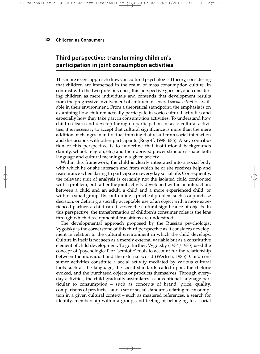# **Third perspective: transforming children's participation in joint consumption activities**

This more recent approach draws on cultural psychological theory, considering that children are immersed in the realm of mass consumption culture. In contrast with the two previous ones, this perspective goes beyond considering children as mere individuals and contends that development results from the progressive involvement of children in several *social activities* available in their environment. From a theoretical standpoint, the emphasis is on examining how children actually participate in socio-cultural activities and especially how they take part in consumption activities. To understand how children learn and develop through a participation in socio-cultural activities, it is necessary to accept that cultural significance is more than the mere addition of changes in individual thinking that result from social interaction and discussions with other participants (Rogoff, 1998: 686). A key contribution of this perspective is to underline that institutional backgrounds (family, school, religion, etc.) and their derived power structures shape both language and cultural meanings in a given society.

Within this framework, the child is clearly integrated into a social body with which he or she interacts and from which he or she receives help and reassurance when daring to participate in everyday social life. Consequently, the relevant unit of analysis is certainly not the isolated child confronted with a problem, but rather the joint activity developed within an interaction: between a child and an adult, a child and a more experienced child, or within a small group. By confronting a practical problem such as a purchase decision, or defining a socially acceptable use of an object with a more experienced partner, a child can discover the cultural significance of objects. In this perspective, the transformation of children's consumer roles is the lens through which developmental transitions are understood.

The developmental approach proposed by the Russian psychologist Vygotsky is the cornerstone of this third perspective as it considers development in relation to the cultural environment in which the child develops. Culture in itself is not seen as a merely external variable but as a constitutive element of child development. To go further, Vygotsky (1934/1985) used the concept of 'psychological' or 'semiotic' tools to account for the relationship between the individual and the external world (Wertsch, 1985). Child consumer activities constitute a social activity mediated by various cultural tools such as the language, the social standards called upon, the rhetoric evoked, and the purchased objects or products themselves. Through everyday activities, the child gradually assimilates a conventional language particular to consumption – such as concepts of brand, price, quality, comparisons of products – and a set of social standards relating to consumption in a given cultural context – such as mastered references, a search for identity, membership within a group, and feeling of belonging to a social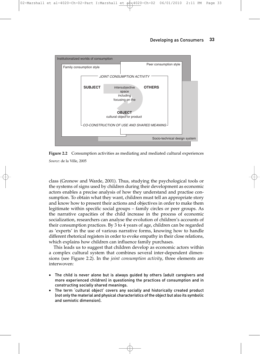

**Figure 2.2** Consumption activities as mediating and mediated cultural experiences *Source*: de la Ville, 2005

class (Gronow and Warde, 2001). Thus, studying the psychological tools or the systems of signs used by children during their development as economic actors enables a precise analysis of how they understand and practise consumption. To obtain what they want, children must tell an appropriate story and know how to present their actions and objectives in order to make them legitimate within specific social groups – family circles or peer groups. As the narrative capacities of the child increase in the process of economic socialization, researchers can analyse the evolution of children's accounts of their consumption practices. By 3 to 4 years of age, children can be regarded as 'experts' in the use of various narrative forms, knowing how to handle different rhetorical registers in order to evoke empathy in their close relations, which explains how children can influence family purchases.

This leads us to suggest that children develop as economic actors within a complex cultural system that combines several inter-dependent dimensions (see Figure 2.2). In the *joint consumption activity*, three elements are interwoven:

- The child is never alone but is always guided by others (adult caregivers and more experienced children) in questioning the practices of consumption and in constructing socially shared meanings.
- The term 'cultural object' covers any socially and historically created product (not only the material and physical characteristics of the object but also its symbolic and semiotic dimension).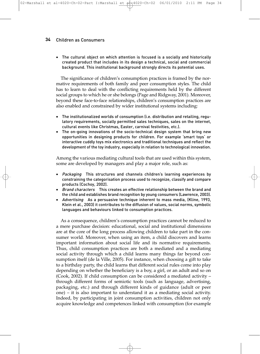• The cultural object on which attention is focused is a socially and historically created product that includes in its design a technical, social and commercial background. This institutional background strongly directs its potential uses.

The significance of children's consumption practices is framed by the normative requirements of both family and peer consumption styles. The child has to learn to deal with the conflicting requirements held by the different social groups to which he or she belongs (Page and Ridgway, 2001). Moreover, beyond these face-to-face relationships, children's consumption practices are also enabled and constrained by wider institutional systems including:

- The institutionalized worlds of consumption (i.e. distribution and retailing, regulatory requirements, socially permitted sales techniques, sales on the internet, cultural events like Christmas, Easter, carnival festivities, etc.).
- The on-going innovations of the socio-technical design system that bring new opportunities in designing products for children. For example 'smart toys' or interactive cuddly toys mix electronics and traditional techniques and reflect the development of the toy industry, especially in relation to technological innovation.

Among the various mediating cultural tools that are used within this system, some are developed by managers and play a major role, such as:

- Packaging This structures and channels children's learning experiences by constraining the categorisation process used to recognize, classify and compare products (Cochoy, 2002).
- Brand characters This creates an effective relationship between the brand and the child and establishes brand recognition by young consumers (Lawrence, 2003).
- Advertising As a persuasive technique inherent to mass media, (Kline, 1993, Klein et al., 2003) it contributes to the diffusion of values, social norms, symbolic languages and behaviours linked to consumption practices.

As a consequence, children's consumption practices cannot be reduced to a mere purchase decision: educational, social and institutional dimensions are at the core of the long process allowing children to take part in the consumer world. Moreover, when using an item, a child discovers and learns important information about social life and its normative requirements. Thus, child consumption practices are both a mediated and a mediating social activity through which a child learns many things far beyond consumption itself (de la Ville, 2005). For instance, when choosing a gift to take to a birthday party, the child learns that different social rules come into play depending on whether the beneficiary is a boy, a girl, or an adult and so on (Cook, 2002). If child consumption can be considered a mediated activity – through different forms of semiotic tools (such as language, advertising, packaging, etc.) and through different kinds of guidance (adult or peer one) – it is also important to understand it as a mediating social activity. Indeed, by participating in joint consumption activities, children not only acquire knowledge and competences linked with consumption (for example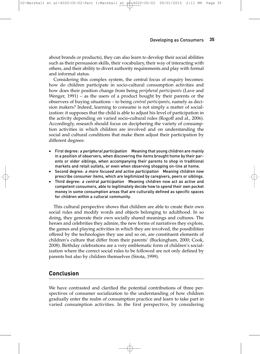about brands or products), they can also learn to develop their social abilities such as their persuasion skills, their vocabulary, their way of interacting with others, and their ability to divert authority requirements and play with formal and informal status.

Considering this complex system, the central focus of enquiry becomes: how do children participate in socio-cultural consumption activities and how does their position change from being *peripheral participants* (Lave and Wenger, 1991) – as the users of a product bought by their parents or the observers of buying situations – to being *central participants*, namely as decision makers? Indeed, learning to consume is not simply a matter of socialization: it supposes that the child is able to adjust his level of participation in the activity depending on varied socio-cultural rules (Rogoff and al., 2006). Accordingly, research should focus on deciphering the variety of consumption activities in which children are involved and on understanding the social and cultural conditions that make them adjust their participation by different degrees:

- First degree: a peripheral participation Meaning that young children are mainly in a position of observers, when discovering the items brought home by their parents or older siblings, when accompanying their parents to shop in traditional markets and retail outlets, or even when observing shopping on-line at home.
- Second degree: a more focused and active participation Meaning children now prescribe consumer items, which are legitimized by caregivers, peers or siblings.
- Third degree: a central participation Meaning children now act as active and competent consumers, able to legitimately decide how to spend their own pocket money in some consumption areas that are culturally defined as specific spaces for children within a cultural community.

This cultural perspective shows that children are able to create their own social rules and modify words and objects belonging to adulthood. In so doing, they generate their own socially shared meanings and cultures. The heroes and celebrities they admire, the new forms of narratives they explore, the games and playing activities in which they are involved, the possibilities offered by the technologies they use and so on, are constituent elements of children's culture that differ from their parents' (Buckingham, 2000; Cook, 2008). Birthday celebrations are a very emblematic form of children's socialization where the correct social rules to be followed are not only defined by parents but also by children themselves (Sirota, 1999).

## **Conclusion**

We have contrasted and clarified the potential contributions of three perspectives of consumer socialization to the understanding of how children gradually enter the realm of consumption practice and learn to take part in varied consumption activities. In the first perspective, by considering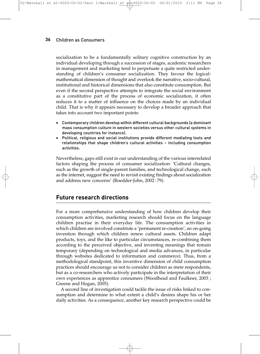socialization to be a fundamentally solitary cognitive construction by an individual developing through a succession of stages, academic researchers in management and marketing tend to perpetuate a quite restricted understanding of children's consumer socialization. They favour the logicalmathematical dimension of thought and overlook the narrative, socio-cultural, institutional and historical dimensions that also constitute consumption. But even if the second perspective attempts to integrate the social environment as a constitutive part of the process of economic socialization, it often reduces it to a matter of influence on the choices made by an individual child. That is why it appears necessary to develop a broader approach that takes into account two important points:

- Contemporary children develop within different cultural backgrounds (a dominant mass consumption culture in western societies versus other cultural systems in developing countries for instance).
- Political, religious and social institutions provide different mediating tools and relationships that shape children's cultural activities – including consumption activities.

Nevertheless, gaps still exist in our understanding of the various interrelated factors shaping the process of consumer socialization: 'Cultural changes, such as the growth of single-parent families, and technological change, such as the internet, suggest the need to revisit existing findings about socialization and address new concerns' (Roedder-John, 2002: 79).

## **Future research directions**

For a more comprehensive understanding of how children develop their consumption activities, marketing research should focus on the language children practise in their everyday life. The consumption activities in which children are involved constitute a 'permanent re-creation', an on-going invention through which children renew cultural assets. Children adapt products, toys, and the like to particular circumstances, re-combining them according to the perceived objective, and inventing meanings that remain temporary (depending on technological and media advances, in particular through websites dedicated to information and commerce). Thus, from a methodological standpoint, this inventive dimension of child consumption practices should encourage us not to consider children as mere respondents, but as a co-researchers who actively participate in the interpretation of their own experiences as apprentice consumers (Woodhead and Faulkner, 2003 ; Greene and Hogan, 2005).

A second line of investigation could tackle the issue of risks linked to consumption and determine to what extent a child's desires shape his or her daily activities. As a consequence, another key research perspective could be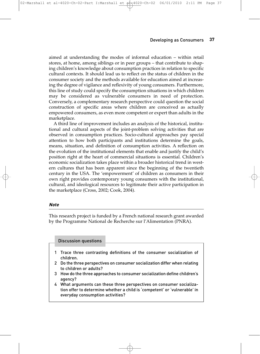aimed at understanding the modes of informal education – within retail stores, at home, among siblings or in peer groups – that contribute to shaping children's knowledge about consumption practices in relation to specific cultural contexts. It should lead us to reflect on the status of children in the consumer society and the methods available for education aimed at increasing the degree of vigilance and reflexivity of young consumers. Furthermore, this line of study could specify the consumption situations in which children may be considered as vulnerable consumers in need of protection. Conversely, a complementary research perspective could question the social construction of specific areas where children are conceived as actually empowered consumers, as even more competent or expert than adults in the marketplace.

A third line of improvement includes an analysis of the historical, institutional and cultural aspects of the joint-problem solving activities that are observed in consumption practices. Socio-cultural approaches pay special attention to how both participants and institutions determine the goals, means, situation, and definition of consumption activities. A reflection on the evolution of the institutional elements that enable and justify the child's position right at the heart of commercial situations is essential. Children's economic socialization takes place within a broader historical trend in western cultures that has been apparent since the beginning of the twentieth century in the USA. The 'empowerment' of children as consumers in their own right provides contemporary young consumers with the institutional, cultural, and ideological resources to legitimate their active participation in the marketplace (Cross, 2002; Cook, 2004).

#### **Note**

This research project is funded by a French national research grant awarded by the Programme National de Recherche sur l'Alimentation (PNRA).

Discussion questions

- 1 Trace three contrasting definitions of the consumer socialization of children.
- 2 Do the three perspectives on consumer socialization differ when relating to children or adults?
- 3 How do the three approaches to consumer socialization define children's agency?
- 4 What arguments can these three perspectives on consumer socialization offer to determine whether a child is 'competent' or 'vulnerable' in everyday consumption activities?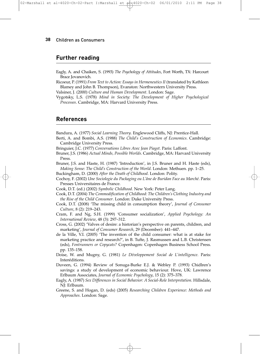# **Further reading**

Eagly, A. and Chaiken, S. (1993) *The Psychology of Attitudes*, Fort Worth, TX: Harcourt Brace Jovanovich.

Ricoeur, P. (1991) *From Text to Action: Essays in Hermeneutics II* (translated by Kathleen Blamey and John B. Thompson), Evanston: Northwestern University Press.

Valsiner, J. (2000) *Culture and Human Development*. London: Sage.

Vygotsky, L.S. (1978) *Mind in Society: The Development of Higher Psychological Processes*. Cambridge, MA: Harvard University Press.

## **References**

Bandura, A. (1977) *Social Learning Theory*. Englewood Cliffs, NJ: Prentice-Hall.

Berti, A. and Bombi, A.S. (1988) *The Child's Construction of Economics*. Cambridge: Cambridge University Press.

Bringuier, J.C. (1977) *Conversations Libres Avec Jean Piaget*. Paris: Laffont.

Bruner, J.S. (1986) *Actual Minds, Possible Worlds*. Cambridge, MA: Harvard University Press.

Bruner, J.S. and Haste, H. (1987) 'Introduction', in J.S. Bruner and H. Haste (eds), *Making Sense: The Child's Construction of the World*. London: Methuen. pp. 1–25.

Buckingham, D. (2000) *After the Death of Childhood*. London: Polity.

Cochoy, F. (2002) *Une Sociologie du Packaging ou L'âne de Buridan Face au Marché*. Paris: Presses Universitaires de France.

Cook, D.T. (ed.) (2002) *Symbolic Childhood.* New York: Peter Lang.

Cook, D.T. (2004) *The Commodification of Childhood: The Children's Clothing Industry and the Rise of the Child Consumer*. London: Duke University Press.

- Cook, D.T. (2008) 'The missing child in consumption theory', *Journal of Consumer Culture*, 8 (2): 219–243.
- Cram, F. and Ng, S.H. (1999) 'Consumer socialization', *Applied Psychology: An International Review*, 48 (3): 297–312.
- Cross, G. (2002) 'Valves of desire: a historian's perspective on parents, children, and marketing', *Journal of Consumer Research*, 29 (December): 441–447.
- de la Ville, V.I. (2005) 'The invention of the child consumer: what is at stake for marketing practice and research?', in B. Tufte, J. Rasmussen and L.B. Christensen (eds), *Fontrunners or Copycats?* Copenhagen: Copenhagen Business School Press. pp. 135–158.
- Doise, W. and Mugny, G. (1981) *Le Développement Social de L'intelligence*. Paris: Interéditions.
- Duveen, G. (1994) Review of Sonuga-Burke E.J. & Webley P. (1993) Chidlren's savings: a study of development of economic behaviour. Hove, UK: Lawrence Erlbaum Associates, *Journal of Economic Psychology*, 15 (2): 375–378.
- Eagly, A. (1987) *Sex Differences in Social Behavior: A Social-Role Interpretation*. Hillsdale, NJ: Erlbaum.
- Greene, S. and Hogan, D. (eds) (2005) *Researching Children Experience: Methods and Approaches*. London: Sage.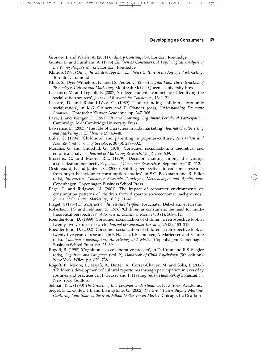02-Marshall et al-4020-Ch-02-Part I:Marshall et al-4020-Ch-02 06/01/2010 2:11 PM Page 39

Gronow, J. and Warde, A. (2001) *Ordinary Consumption*. London: Routledge.

- Gunter, B. and Furnham, A. (1998) *Children as Consumers: A Psychological Analysis of the Young People's Market*. London: Routledge
- Kline, S. (1993) *Out of the Garden: Toys and Children's Culture in the Age of TV Marketing*. Toronto: Garamond.
- Kline, S., Dyer-Witheford, N. and De Peuter, G. (2003) *Digital Play: The Interaction of Technology, Culture and Marketing*. Montreal: McGill-Queen's University Press.
- Lachance, M. and Legault, F. (2007) 'College student's competence: identifying the socialization sources', *Journal of Research for Consumers*, 13: 1–21.
- Lassare, D. and Roland-Lévy, C. (1989) 'Understanding children's economic socialization', in K.G. Grünert and F. Olander (eds), *Understanding Economic Behaviour*. Dordrecht: Kluwer Academic. pp. 347–368.
- Lave, J. and Wenger, E. (1991) *Situated Learning, Legitimate Peripheral Participation*. Cambridge, MA: Cambridge University Press.
- Lawrence, D. (2003) 'The role of characters in kids marketing', *Journal of Advertising and Marketing to Children*, 4 (3): 43–48.
- Luke, C. (1994) 'Childhood and parenting in popular-culture', *Australian and New Zealand Journal of Sociology*, 30 (3): 289–302.
- Moschis, G. and Churchill, G. (1978) 'Consumer socialization: a theoretical and empirical analysis', *Journal of Marketing Research*, 15 (4): 599–609.
- Moschis, G. and Moore, R.L. (1979) 'Decision making among the young: a socialization perspective', *Journal of Consumer Research*, 6 (September): 101–112.
- Oestergaard, P. and Jantzen, C. (2000) 'Shifting perspectives in consumer research: from buyer behaviour to consumption studies', in S.C. Beckmann and R. Elliot (eds), *Interpretive Consumer Research: Paradigms, Methodologies and Applications*. Copenhagen: Copenhagen Business School Press.
- Page, C. and Ridgway, N. (2001) 'The impact of consumer environments on consumption patterns of children from disparate socioeconomic backgrounds', *Journal of Consumer Marketing*, 18 (1): 21–41.
- Piaget, J. (1937) *La construction du réel chez l'enfant*. Neuchâtel: Delachaux et Niestlé.
- Robertson, T.S. and Feldman, S. (1976) 'Children as consumers: the need for multitheoretical perspectives', *Advances in Consumer Research*, 3 (1): 508–512.
- Roedder-John, D. (1999) 'Consumer socialization of children: a retrospective look at twenty-five years of research', *Journal of Consumer Research*, 26 (3): 183–213.
- Roedder-John, D. (2002) 'Consumer socialization of children: a retrospective look at twenty-five years of research', in F. Hansen, J. Rasmussen, A. Martensen and B. Tufte (eds), *Children: Consumption, Advertising and Media*. Copenhagen: Copenhagen Business School Press. pp. 25–89.
- Rogoff, B. (1998) 'Cognition as a collaborative process', in D. Kuhn and R.S. Siegler (eds), *Cognition and Language* (vol. 2), *Handbook of Child Psychology* (5th edition). New York: Wiley. pp. 679–738.
- Rogoff, B., Moore, L., Najafi, B., Dexter, A., Correa-Chavez, M. and Solis, J. (2006) 'Children's development of cultural repertoires through participation in everyday routines and practices', in J. Grusec and P. Hasting (eds), *Handbook of Socialization*. New York: Guilford.
- Selman, R.L. (1980) *The Growth of Interpersonal Understanding*. New York: Academic.
- Siegel, D.L., Coffey, T.J. and Livingstone, G. (2002) *The Great Tween Buying Machine: Capturing Your Share of the Multibillion Dollar Tween Market*. Chicago, IL: Dearborn.